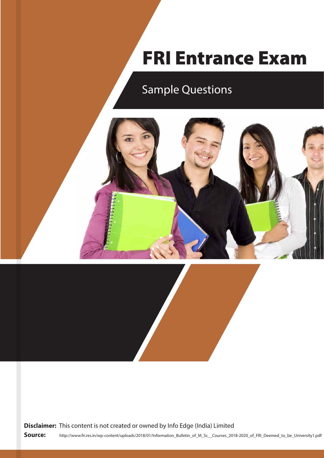# FRI Entrance Exam

# Sample Questions





**Source:** http://www.fri.res.in/wp-content/uploads/2018/01/Information\_Bulletin\_of\_M\_Sc\_\_Courses\_2018-2020\_of\_FRI\_Deemed\_to\_be\_University1.pdf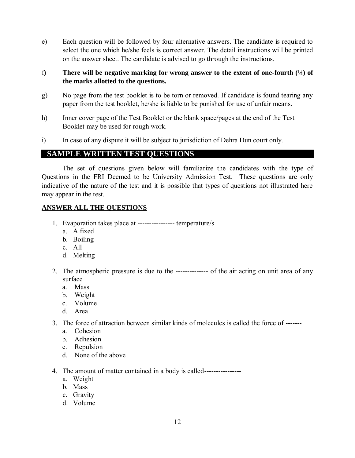e) Each question will be followed by four alternative answers. The candidate is required to select the one which he/she feels is correct answer. The detail instructions will be printed on the answer sheet. The candidate is advised to go through the instructions.

# f**) There will be negative marking for wrong answer to the extent of one-fourth (¼) of the marks allotted to the questions.**

- g) No page from the test booklet is to be torn or removed. If candidate is found tearing any paper from the test booklet, he/she is liable to be punished for use of unfair means.
- h) Inner cover page of the Test Booklet or the blank space/pages at the end of the Test Booklet may be used for rough work.
- i) In case of any dispute it will be subject to jurisdiction of Dehra Dun court only.

# **SAMPLE WRITTEN TEST QUESTIONS**

The set of questions given below will familiarize the candidates with the type of Questions in the FRI Deemed to be University Admission Test. These questions are only indicative of the nature of the test and it is possible that types of questions not illustrated here may appear in the test.

# **ANSWER ALL THE QUESTIONS**

- 1. Evaporation takes place at ---------------- temperature/s
	- a. A fixed
	- b. Boiling
	- c. All
	- d. Melting
- 2. The atmospheric pressure is due to the -------------- of the air acting on unit area of any surface
	- a. Mass
	- b. Weight
	- c. Volume
	- d. Area
- 3. The force of attraction between similar kinds of molecules is called the force of ------
	- a. Cohesion
	- b. Adhesion
	- c. Repulsion
	- d. None of the above
- 4. The amount of matter contained in a body is called---------------
	- a. Weight
	- b. Mass
	- c. Gravity
	- d. Volume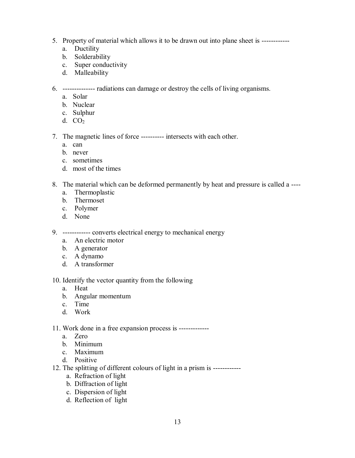- 5. Property of material which allows it to be drawn out into plane sheet is -----------
	- a. Ductility
	- b. Solderability
	- c. Super conductivity
	- d. Malleability

6. -------------- radiations can damage or destroy the cells of living organisms.

- a. Solar
- b. Nuclear
- c. Sulphur
- d. CO<sup>2</sup>

7. The magnetic lines of force ---------- intersects with each other.

- a. can
- b. never
- c. sometimes
- d. most of the times
- 8. The material which can be deformed permanently by heat and pressure is called a ---
	- a. Thermoplastic
	- b. Thermoset
	- c. Polymer
	- d. None

9. ------------ converts electrical energy to mechanical energy

- a. An electric motor
- b. A generator
- c. A dynamo
- d. A transformer

#### 10. Identify the vector quantity from the following

- a. Heat
- b. Angular momentum
- c. Time
- d. Work

#### 11. Work done in a free expansion process is -------------

- a. Zero
- b. Minimum
- c. Maximum
- d. Positive
- 12. The splitting of different colours of light in a prism is -----------
	- a. Refraction of light
	- b. Diffraction of light
	- c. Dispersion of light
	- d. Reflection of light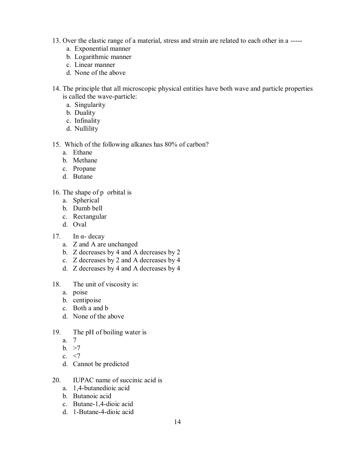- 13. Over the elastic range of a material, stress and strain are related to each other in a ----
	- a. Exponential manner
	- b. Logarithmic manner
	- c. Linear manner
	- d. None of the above
- 14. The principle that all microscopic physical entities have both wave and particle properties is called the wave-particle:
	- a. Singularity
	- b. Duality
	- c. Infinality
	- d. Nullility

# 15. Which of the following alkanes has 80% of carbon?

- a. Ethane
- b. Methane
- c. Propane
- d. Butane

# 16. The shape of p orbital is

- a. Spherical
- b. Dumb bell
- c. Rectangular
- d. Oval

# 17. In α- decay

- a. Z and A are unchanged
- b. Z decreases by 4 and A decreases by 2
- c. Z decreases by 2 and A decreases by 4
- d. Z decreases by 4 and A decreases by 4
- 18. The unit of viscosity is:
	- a. poise
	- b. centipoise
	- c. Both a and b
	- d. None of the above
- 19. The pH of boiling water is
	- a. 7
	- b.  $>7$
	- c.  $\leq$ 7
	- d. Cannot be predicted
- 20. IUPAC name of succinic acid is
	- a. 1,4-butanedioic acid
	- b. Butanoic acid
	- c. Butane-1,4-dioic acid
	- d. 1-Butane-4-dioic acid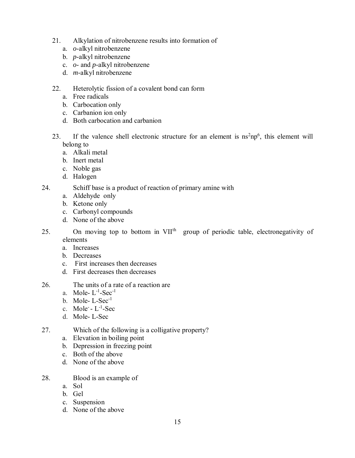- 21. Alkylation of nitrobenzene results into formation of
	- a. *o*-alkyl nitrobenzene
	- b. *p*-alkyl nitrobenzene
	- c. *o* and *p-*alkyl nitrobenzene
	- d. *m-*alkyl nitrobenzene
- 22. Heterolytic fission of a covalent bond can form
	- a. Free radicals
	- b. Carbocation only
	- c. Carbanion ion only
	- d. Both carbocation and carbanion
- 23. If the valence shell electronic structure for an element is  $\text{ns}^2 \text{np}^6$ , this element will belong to
	- a. Alkali metal
	- b. Inert metal
	- c. Noble gas
	- d. Halogen
- 24. Schiff base is a product of reaction of primary amine with
	- a. Aldehyde only
	- b. Ketone only
	- c. Carbonyl compounds
	- d. None of the above
- 25. On moving top to bottom in VII<sup>th</sup> group of periodic table, electronegativity of elements
	- a. Increases
	- b. Decreases
	- c. First increases then decreases
	- d. First decreases then decreases
- 26. The units of a rate of a reaction are
	- a. Mole- $L^{-1}$ -Sec<sup>-1</sup>
	- b. Mole-  $L-Sec^{-1}$
	- c. Mole<sup>-</sup>  $L^{-1}$ -Sec
	- d. Mole- L-Sec
- 27. Which of the following is a colligative property?
	- a. Elevation in boiling point
	- b. Depression in freezing point
	- c. Both of the above
	- d. None of the above
- 28. Blood is an example of
	- a. Sol
	- b. Gel
	- c. Suspension
	- d. None of the above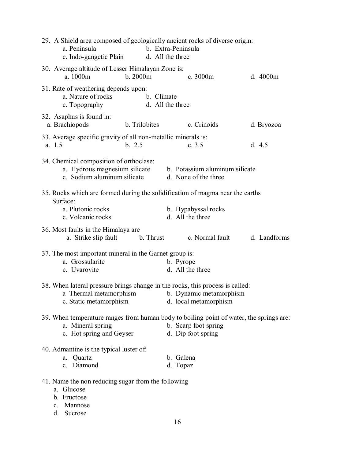| 29. A Shield area composed of geologically ancient rocks of diverse origin:<br>a. Peninsula<br>c. Indo-gangetic Plain                    | b. Extra-Peninsula<br>d. All the three                 |  |
|------------------------------------------------------------------------------------------------------------------------------------------|--------------------------------------------------------|--|
| 30. Average altitude of Lesser Himalayan Zone is:<br>b. 2000m<br>a. 1000m                                                                | c. 3000m<br>d. 4000m                                   |  |
| 31. Rate of weathering depends upon:<br>a. Nature of rocks<br>b. Climate<br>c. Topography                                                | d. All the three                                       |  |
| 32. Asaphus is found in:<br>a. Brachiopods<br>b. Trilobites                                                                              | c. Crinoids<br>d. Bryozoa                              |  |
| 33. Average specific gravity of all non-metallic minerals is:<br>b. 2.5<br>a. 1.5                                                        | c. $3.5$<br>d. $4.5$                                   |  |
| 34. Chemical composition of orthoclase:<br>a. Hydrous magnesium silicate<br>c. Sodium aluminum silicate                                  | b. Potassium aluminum silicate<br>d. None of the three |  |
| 35. Rocks which are formed during the solidification of magma near the earths<br>Surface:<br>a. Plutonic rocks<br>c. Volcanic rocks      | b. Hypabyssal rocks<br>d. All the three                |  |
| 36. Most faults in the Himalaya are<br>a. Strike slip fault b. Thrust                                                                    | c. Normal fault<br>d. Landforms                        |  |
| 37. The most important mineral in the Garnet group is:<br>a. Grossularite<br>c. Uvarovite                                                | b. Pyrope<br>d. All the three                          |  |
| 38. When lateral pressure brings change in the rocks, this process is called:<br>a Thermal metamorphism<br>c. Static metamorphism        | b. Dynamic metamorphism<br>d. local metamorphism       |  |
| 39. When temperature ranges from human body to boiling point of water, the springs are:<br>a. Mineral spring<br>c. Hot spring and Geyser | b. Scarp foot spring<br>d. Dip foot spring             |  |
| 40. Admantine is the typical luster of:<br>a. Quartz<br>c. Diamond                                                                       | b. Galena<br>d. Topaz                                  |  |
| 41. Name the non reducing sugar from the following<br>a. Glucose<br>b. Fructose<br>Mannose<br>$\mathbf{c}$ .<br>d. Sucrose               |                                                        |  |
|                                                                                                                                          | 16                                                     |  |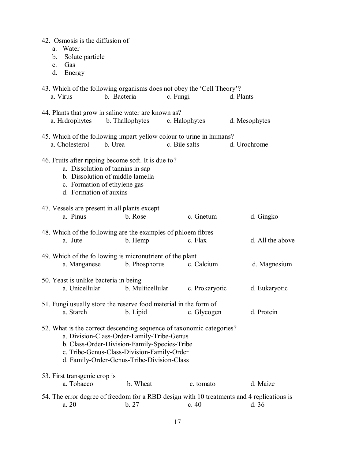| 42. Osmosis is the diffusion of<br>Water<br>a.<br>Solute particle<br>$\mathbf{b}$ .<br>c. Gas<br>d.<br>Energy |                                                                                                                                                                                        |                                                                                      |                                                                                                   |
|---------------------------------------------------------------------------------------------------------------|----------------------------------------------------------------------------------------------------------------------------------------------------------------------------------------|--------------------------------------------------------------------------------------|---------------------------------------------------------------------------------------------------|
| a. Virus                                                                                                      | b. Bacteria                                                                                                                                                                            | 43. Which of the following organisms does not obey the 'Cell Theory'?<br>c. Fungi    | d. Plants                                                                                         |
| a. Hrdrophytes                                                                                                | 44. Plants that grow in saline water are known as?<br>b. Thallophytes                                                                                                                  | c. Halophytes                                                                        | d. Mesophytes                                                                                     |
| a. Cholesterol                                                                                                | b. Urea                                                                                                                                                                                | 45. Which of the following impart yellow colour to urine in humans?<br>c. Bile salts | d. Urochrome                                                                                      |
| d. Formation of auxins                                                                                        | 46. Fruits after ripping become soft. It is due to?<br>a. Dissolution of tannins in sap<br>b. Dissolution of middle lamella<br>c. Formation of ethylene gas                            |                                                                                      |                                                                                                   |
| a. Pinus                                                                                                      | 47. Vessels are present in all plants except<br>b. Rose                                                                                                                                | c. Gnetum                                                                            | d. Gingko                                                                                         |
| a. Jute                                                                                                       | b. Hemp                                                                                                                                                                                | 48. Which of the following are the examples of phloem fibres<br>c. Flax              | d. All the above                                                                                  |
| a. Manganese                                                                                                  | 49. Which of the following is micronutrient of the plant<br>b. Phosphorus                                                                                                              | c. Calcium                                                                           | d. Magnesium                                                                                      |
| a. Unicellular                                                                                                | 50. Yeast is unlike bacteria in being<br>b. Multicellular                                                                                                                              | c. Prokaryotic                                                                       | d. Eukaryotic                                                                                     |
| a. Starch                                                                                                     | b. Lipid                                                                                                                                                                               | 51. Fungi usually store the reserve food material in the form of<br>c. Glycogen      | d. Protein                                                                                        |
|                                                                                                               | a. Division-Class-Order-Family-Tribe-Genus<br>b. Class-Order-Division-Family-Species-Tribe<br>c. Tribe-Genus-Class-Division-Family-Order<br>d. Family-Order-Genus-Tribe-Division-Class | 52. What is the correct descending sequence of taxonomic categories?                 |                                                                                                   |
| 53. First transgenic crop is<br>a. Tobacco                                                                    | b. Wheat                                                                                                                                                                               | c. tomato                                                                            | d. Maize                                                                                          |
| a. 20                                                                                                         | b. 27                                                                                                                                                                                  | c.40                                                                                 | 54. The error degree of freedom for a RBD design with 10 treatments and 4 replications is<br>d.36 |
|                                                                                                               |                                                                                                                                                                                        |                                                                                      |                                                                                                   |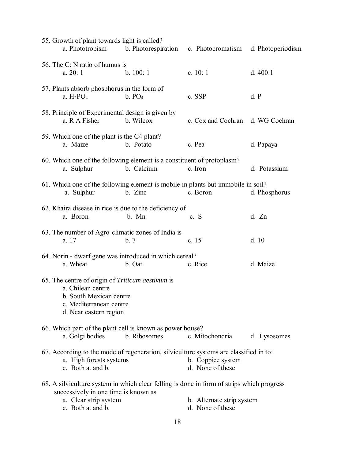| 55. Growth of plant towards light is called?<br>a. Phototropism                                                                                                                 | b. Photorespiration | c. Photocromatism                             | d. Photoperiodism |
|---------------------------------------------------------------------------------------------------------------------------------------------------------------------------------|---------------------|-----------------------------------------------|-------------------|
| 56. The C: N ratio of humus is<br>a. 20:1                                                                                                                                       | b. 100:1            | c. $10:1$                                     | d. $400:1$        |
| 57. Plants absorb phosphorus in the form of<br>a. $H_2PO_4$                                                                                                                     | b. PO <sub>4</sub>  | c. SSP                                        | d. P              |
| 58. Principle of Experimental design is given by<br>a. R A Fisher                                                                                                               | b. Wilcox           | c. Cox and Cochran d. WG Cochran              |                   |
| 59. Which one of the plant is the C4 plant?<br>a. Maize                                                                                                                         | b. Potato           | c. Pea                                        | d. Papaya         |
| 60. Which one of the following element is a constituent of protoplasm?<br>a. Sulphur                                                                                            | b. Calcium          | c. Iron                                       | d. Potassium      |
| 61. Which one of the following element is mobile in plants but immobile in soil?<br>a. Sulphur                                                                                  | b. Zinc             | c. Boron                                      | d. Phosphorus     |
| 62. Khaira disease in rice is due to the deficiency of<br>a. Boron                                                                                                              | b. Mn               | c. S                                          | d. Zn             |
| 63. The number of Agro-climatic zones of India is<br>a. 17                                                                                                                      | b. 7                | c. 15                                         | d.10              |
| 64. Norin - dwarf gene was introduced in which cereal?<br>a. Wheat                                                                                                              | b. Oat              | c. Rice                                       | d. Maize          |
| 65. The centre of origin of Triticum aestivum is<br>a. Chilean centre<br>b. South Mexican centre<br>c. Mediterranean centre<br>d. Near eastern region                           |                     |                                               |                   |
| 66. Which part of the plant cell is known as power house?<br>a. Golgi bodies                                                                                                    | b. Ribosomes        | c. Mitochondria                               | d. Lysosomes      |
| 67. According to the mode of regeneration, silviculture systems are classified in to:<br>a. High forests systems<br>c. Both a. and b.                                           |                     | b. Coppice system<br>d. None of these         |                   |
| 68. A silviculture system in which clear felling is done in form of strips which progress<br>successively in one time is known as<br>a. Clear strip system<br>c. Both a. and b. |                     | b. Alternate strip system<br>d. None of these |                   |
|                                                                                                                                                                                 |                     |                                               |                   |

18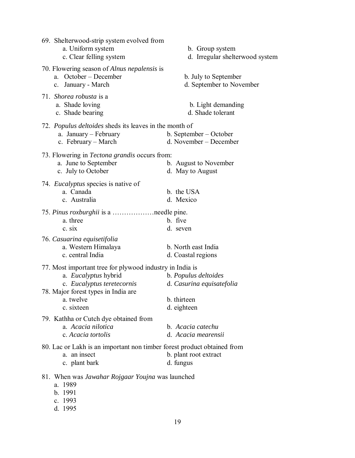| 69. Shelterwood-strip system evolved from<br>a. Uniform system<br>c. Clear felling system                                                                                        | b. Group system<br>d. Irregular shelterwood system                              |
|----------------------------------------------------------------------------------------------------------------------------------------------------------------------------------|---------------------------------------------------------------------------------|
| 70. Flowering season of Alnus nepalensis is<br>a. October – December<br>c. January - March                                                                                       | b. July to September<br>d. September to November                                |
| 71. Shorea robusta is a<br>a. Shade loving<br>c. Shade bearing                                                                                                                   | b. Light demanding<br>d. Shade tolerant                                         |
| 72. Populus deltoides sheds its leaves in the month of<br>a. January - February<br>c. February - March                                                                           | b. September – October<br>d. November – December                                |
| 73. Flowering in <i>Tectona grandis</i> occurs from:<br>a. June to September<br>c. July to October                                                                               | b. August to November<br>d. May to August                                       |
| 74. <i>Eucalyptus</i> species is native of<br>a. Canada<br>c. Australia                                                                                                          | b. the USA<br>d. Mexico                                                         |
| a. three<br>c. six                                                                                                                                                               | b. five<br>d. seven                                                             |
| 76. Casuarina equisetifolia<br>a. Western Himalaya<br>c. central India                                                                                                           | b. North east India<br>d. Coastal regions                                       |
| 77. Most important tree for plywood industry in India is<br>a. Eucalyptus hybrid<br>c. Eucalyptus teretecornis<br>78. Major forest types in India are<br>a. twelve<br>c. sixteen | b. Populus deltoides<br>d. Casurina equisatefolia<br>b. thirteen<br>d. eighteen |
| 79. Kathha or Cutch dye obtained from<br>a. Acacia nilotica<br>c. Acacia tortolis                                                                                                | b. Acacia catechu<br>d. Acacia mearensii                                        |
| 80. Lac or Lakh is an important non timber forest product obtained from<br>a. an insect<br>c. plant bark                                                                         | b. plant root extract<br>d. fungus                                              |
| 81. When was <i>Jawahar Rojgaar Youjna</i> was launched<br>a. 1989<br>b. 1991<br>c. 1993                                                                                         |                                                                                 |

d. 1995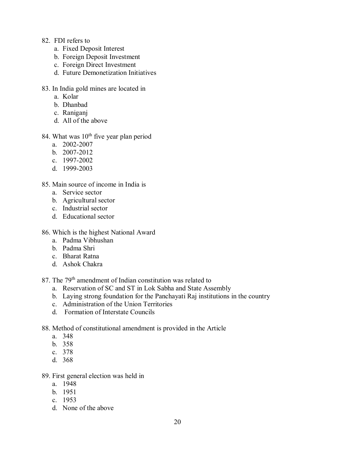- 82. FDI refers to
	- a. Fixed Deposit Interest
	- b. Foreign Deposit Investment
	- c. Foreign Direct Investment
	- d. Future Demonetization Initiatives
- 83. In India gold mines are located in
	- a. Kolar
	- b. Dhanbad
	- c. Raniganj
	- d. All of the above
- 84. What was  $10^{th}$  five year plan period
	- a. 2002-2007
	- b. 2007-2012
	- c. 1997-2002
	- d. 1999-2003
- 85. Main source of income in India is
	- a. Service sector
	- b. Agricultural sector
	- c. Industrial sector
	- d. Educational sector
- 86. Which is the highest National Award
	- a. Padma Vibhushan
	- b. Padma Shri
	- c. Bharat Ratna
	- d. Ashok Chakra
- 87. The 79<sup>th</sup> amendment of Indian constitution was related to
	- a. Reservation of SC and ST in Lok Sabha and State Assembly
	- b. Laying strong foundation for the Panchayati Raj institutions in the country
	- c. Administration of the Union Territories
	- d. Formation of Interstate Councils
- 88. Method of constitutional amendment is provided in the Article
	- a. 348
	- b. 358
	- c. 378
	- d. 368

#### 89. First general election was held in

- a. 1948
- b. 1951
- c. 1953
- d. None of the above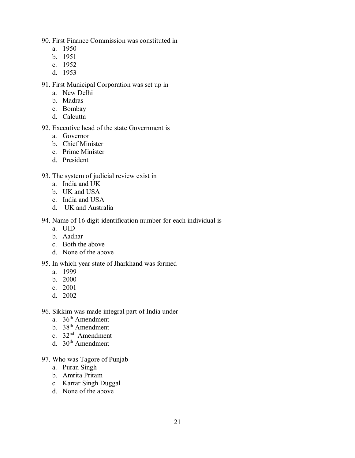90. First Finance Commission was constituted in

- a. 1950
- b. 1951
- c. [1952](http://envfor.nic.in/content/honble-minister-ef-ic-shri-prakash-javadekar-joins-office)
- d. 1953

91. First Municipal Corporation was set up in

- a. New Delhi
- b. Madras
- c. [Bombay](http://envfor.nic.in/content/honble-minister-ef-ic-shri-prakash-javadekar-joins-office)
- d. Calcutta
- 92. Executive head of the state Government is
	- a. Governor
	- b. Chief Minister
	- c. Prime Minister
	- d. President
- 93. The system of judicial review exist in
	- a. India and UK
	- b. UK and USA
	- c. India and USA
	- d. UK and Australia

# 94. Name of 16 digit identification number for each individual is

- a. UID
- b. Aadhar
- c. Both the above
- d. None of the above

# 95. In which year state of Jharkhand was formed

- a. 1999
- b. 2000
- c. 2001
- d. 2002

96. Sikkim was made integral part of India under

- a. 36<sup>th</sup> Amendment
- b. 38<sup>th</sup> Amendment
- c. 32<sup>nd</sup> Amendment
- d.  $30<sup>th</sup>$  Amendment
- 97. Who was Tagore of Punjab
	- a. Puran Singh
	- b. Amrita Pritam
	- c. Kartar Singh Duggal
	- d. None of the above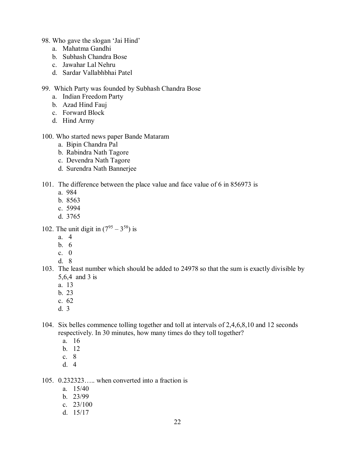- 98. Who gave the slogan 'Jai Hind'
	- a. Mahatma Gandhi
	- b. Subhash Chandra Bose
	- c. Jawahar Lal Nehru
	- d. Sardar Vallabhbhai Patel

#### 99. Which Party was founded by Subhash Chandra Bose

- a. Indian Freedom Party
- b. Azad Hind Fauj
- c. Forward Block
- d. Hind Army

#### 100. Who started news paper Bande Mataram

- a. Bipin Chandra Pal
- b. Rabindra Nath Tagore
- c. Devendra Nath Tagore
- d. Surendra Nath Bannerjee

#### 101. The difference between the place value and face value of 6 in 856973 is

- a. 984
- b. 8563
- c. 5994
- d. 3765
- 102. The unit digit in  $(7^{95} 3^{58})$  is
	- a. 4
	- b. 6
	- c.  $\theta$
	- d. 8

## 103. The least number which should be added to 24978 so that the sum is exactly divisible by 5,6,4 and 3 is

- a. 13
- b. 23
- c. 62
- d. 3

## 104. Six belles commence tolling together and toll at intervals of 2,4,6,8,10 and 12 seconds respectively. In 30 minutes, how many times do they toll together?

- a. 16
- b. 12
- c. 8
- d. 4

# 105. 0.232323….. when converted into a fraction is

- a. 15/40
- b. 23/99
- c. 23/100
- d. 15/17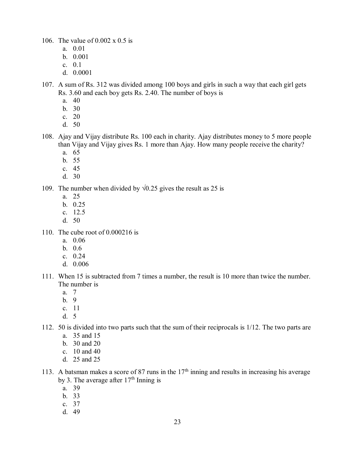106. The value of 0.002 x 0.5 is

- a. 0.01
- b. 0.001
- c. 0.1
- d. 0.0001
- 107. A sum of Rs. 312 was divided among 100 boys and girls in such a way that each girl gets Rs. 3.60 and each boy gets Rs. 2.40. The number of boys is
	- a. 40
	- b. 30
	- c. 20
	- d. 50
- 108. Ajay and Vijay distribute Rs. 100 each in charity. Ajay distributes money to 5 more people than Vijay and Vijay gives Rs. 1 more than Ajay. How many people receive the charity?
	- a. 65
	- b. 55
	- c. 45
	- d. 30
- 109. The number when divided by  $\sqrt{0.25}$  gives the result as 25 is
	- a. 25
	- b. 0.25
	- c. 12.5
	- d. 50
- 110. The cube root of 0.000216 is
	- a. 0.06
	- b. 0.6
	- c. 0.24
	- d. 0.006
- 111. When 15 is subtracted from 7 times a number, the result is 10 more than twice the number. The number is
	- a. 7
	- b. 9
	- c. 11
	- d. 5
- 112. 50 is divided into two parts such that the sum of their reciprocals is 1/12. The two parts are
	- a. 35 and 15
	- b. 30 and 20
	- c. 10 and 40
	- d. 25 and 25
- 113. A batsman makes a score of 87 runs in the  $17<sup>th</sup>$  inning and results in increasing his average by 3. The average after  $17<sup>th</sup>$  Inning is
	- a. 39
	- b. 33
	- c. 37
	- d. 49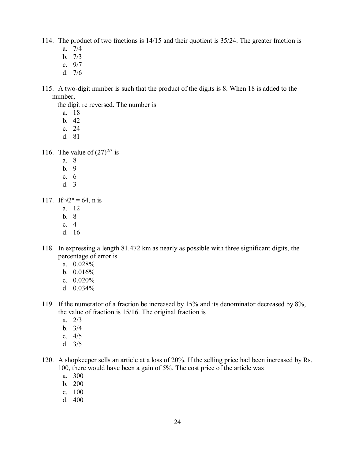- 114. The product of two fractions is 14/15 and their quotient is 35/24. The greater fraction is
	- a. 7/4
	- b. 7/3
	- c. 9/7
	- d. 7/6
- 115. A two-digit number is such that the product of the digits is 8. When 18 is added to the number,

the digit re reversed. The number is

- a. 18
- b. 42
- c. 24
- d. 81

116. The value of  $(27)^{2/3}$  is

- a. 8
- b. 9
- c. 6
- d. 3

117. If  $\sqrt{2^n} = 64$ , n is

- a. 12
- b. 8
- c. 4
- d. 16
- 118. In expressing a length 81.472 km as nearly as possible with three significant digits, the percentage of error is
	- a. 0.028%
	- b. 0.016%
	- c. 0.020%
	- d. 0.034%
- 119. If the numerator of a fraction be increased by 15% and its denominator decreased by 8%, the value of fraction is 15/16. The original fraction is
	- a. 2/3
	- b. 3/4
	- c. 4/5
	- d. 3/5
- 120. A shopkeeper sells an article at a loss of 20%. If the selling price had been increased by Rs. 100, there would have been a gain of 5%. The cost price of the article was
	- a. 300
	- b. 200
	- c. 100
	- d. 400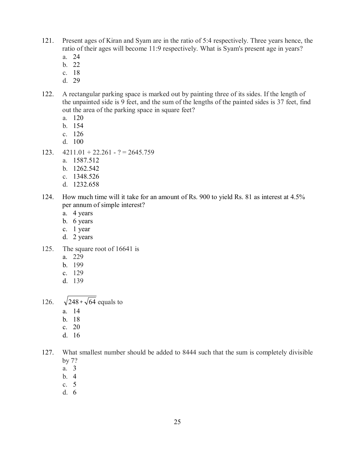- 121. Present ages of Kiran and Syam are in the ratio of 5:4 respectively. Three years hence, the ratio of their ages will become 11:9 respectively. What is Syam's present age in years?
	- a. 24
	- b. 22
	- c. 18
	- d. 29
- 122. A rectangular parking space is marked out by painting three of its sides. If the length of the unpainted side is 9 feet, and the sum of the lengths of the painted sides is 37 feet, find out the area of the parking space in square feet?
	- a. 120
	- b. 154
	- c. 126
	- d. 100
- 123.  $4211.01 + 22.261 ? = 2645.759$ 
	- a. 1587.512
	- b. 1262.542
	- c. 1348.526
	- d. 1232.658
- 124. How much time will it take for an amount of Rs. 900 to yield Rs. 81 as interest at 4.5% per annum of simple interest?
	- a. 4 years
	- b. 6 years
	- c. 1 year
	- d. 2 years
- 125. The square root of 16641 is
	- a. 229
	- b. 199
	- c. 129
	- d. 139

126.  $248 \div \sqrt{64}$  equals to

- a. 14
- b. 18
- c. 20
- d. 16

127. What smallest number should be added to 8444 such that the sum is completely divisible by 7?

- a. 3
- b. 4
- c. 5
- d. 6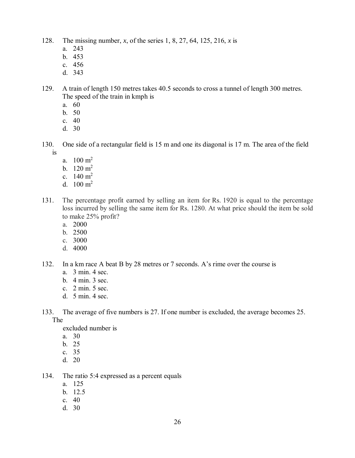- 128. The missing number, *x*, of the series 1, 8, 27, 64, 125, 216, *x* is
	- a. 243
	- b. 453
	- c. 456
	- d. 343

129. A train of length 150 metres takes 40.5 seconds to cross a tunnel of length 300 metres. The speed of the train in kmph is

- a. 60
- b. 50
- c. 40
- d. 30
- 130. One side of a rectangular field is 15 m and one its diagonal is 17 m. The area of the field is
	- a.  $100 \text{ m}^2$
	- b.  $120 \text{ m}^2$
	- c.  $140 \text{ m}^2$
	- d.  $100 \text{ m}^2$
- 131. The percentage profit earned by selling an item for Rs. 1920 is equal to the percentage loss incurred by selling the same item for Rs. 1280. At what price should the item be sold to make 25% profit?
	- a. 2000
	- b. 2500
	- c. 3000
	- d. 4000
- 132. In a km race A beat B by 28 metres or 7 seconds. A's rime over the course is
	- a. 3 min. 4 sec.
	- b. 4 min. 3 sec.
	- c. 2 min. 5 sec.
	- d. 5 min. 4 sec.
- 133. The average of five numbers is 27. If one number is excluded, the average becomes 25. The

excluded number is

- a. 30
- b. 25
- c. 35
- d. 20
- 134. The ratio 5:4 expressed as a percent equals
	- a. 125
	- b. 12.5
	- c. 40
	- d. 30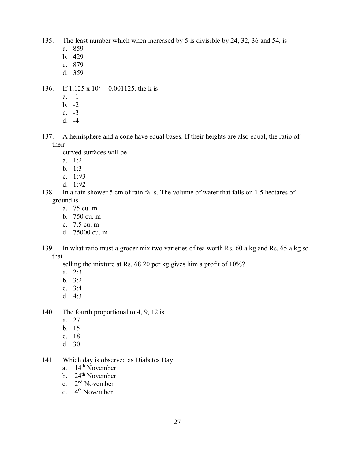- 135. The least number which when increased by 5 is divisible by 24, 32, 36 and 54, is
	- a. 859
	- b. 429
	- c. 879
	- d. 359
- 136. If 1.125 x  $10^k = 0.001125$ . the k is
	- $a 1$
	- b.  $-2$
	- c. -3
	- d. -4
- 137. A hemisphere and a cone have equal bases. If their heights are also equal, the ratio of their
	- curved surfaces will be
	- a. 1:2
	- b. 1:3
	- c.  $1:\sqrt{3}$
	- d.  $1:\sqrt{2}$
- 138. In a rain shower 5 cm of rain falls. The volume of water that falls on 1.5 hectares of ground is
	- a. 75 cu. m
	- b. 750 cu. m
	- c. 7.5 cu. m
	- d. 75000 cu. m
- 139. In what ratio must a grocer mix two varieties of tea worth Rs. 60 a kg and Rs. 65 a kg so that
	- selling the mixture at Rs. 68.20 per kg gives him a profit of 10%?
	- a. 2:3
	- b. 3:2
	- c. 3:4
	- d. 4:3
- 140. The fourth proportional to 4, 9, 12 is
	- a. 27
	- b. 15
	- c. 18
	- d. 30
- 141. Which day is observed as Diabetes Day
	- a. 14<sup>th</sup> November
	- b. 24<sup>th</sup> November
	- c. 2<sup>nd</sup> November
	- d. 4<sup>th</sup> November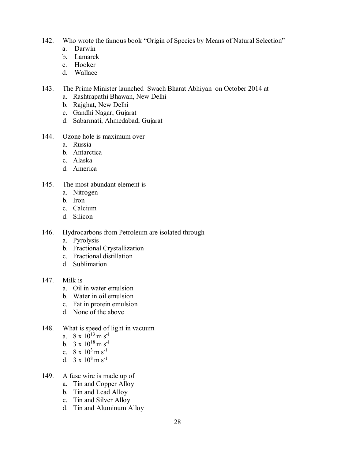- 142. Who wrote the famous book "Origin of Species by Means of Natural Selection"
	- a. Darwin
	- b. Lamarck
	- c. [Hooker](https://en.wikipedia.org/wiki/Joseph_Dalton_Hooker)
	- d. Wallace
- 143. The Prime Minister launched Swach Bharat Abhiyan on October 2014 at
	- a. Rashtrapathi Bhawan, New Delhi
	- b. [Rajghat,](https://en.wikipedia.org/wiki/Raj_Ghat_and_associated_memorials) [New Delhi](https://en.wikipedia.org/wiki/New_Delhi)
	- c. Gandhi Nagar, Gujarat
	- d. Sabarmati, Ahmedabad, Gujarat
- 144. Ozone hole is maximum over
	- a. Russia
	- b. Antarctica
	- c. Alaska
	- d. America
- 145. The most abundant element is
	- a. Nitrogen
	- b. Iron
	- c. Calcium
	- d. Silicon
- 146. Hydrocarbons from Petroleum are isolated through
	- a. Pyrolysis
	- b. Fractional Crystallization
	- c. Fractional distillation
	- d. Sublimation

#### 147. Milk is

- a. Oil in water emulsion
- b. Water in oil emulsion
- c. Fat in protein emulsion
- d. None of the above
- 148. What is speed of light in vacuum
	- a.  $8 \times 10^{13}$  m s<sup>-1</sup>
	- b.  $3 \times 10^{18}$  m s<sup>-1</sup>
	- c.  $8 \times 10^3$  m s<sup>-1</sup>
	- d.  $3 \times 10^8$  m s<sup>-1</sup>
- 149. A fuse wire is made up of
	- a. Tin and Copper Alloy
	- b. Tin and Lead Alloy
	- c. Tin and Silver Alloy
	- d. Tin and Aluminum Alloy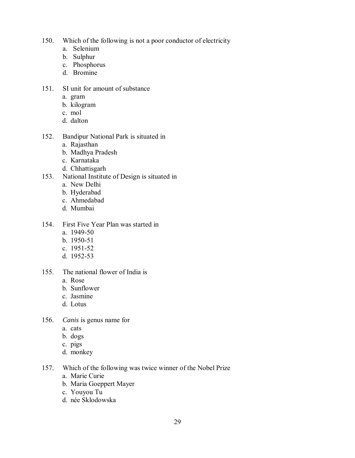- 150. Which of the following is not a poor conductor of electricity
	- a. Selenium
	- b. Sulphur
	- c. Phosphorus
	- d. Bromine
- 151. SI unit for amount of substance
	- a. gram
	- b. kilogram
	- c. mol
	- d. dalton
- 152. Bandipur National Park is situated in
	- a. Rajasthan
	- b. Madhya Pradesh
	- c. Karnataka
	- d. Chhattisgarh
- 153. National Institute of Design is situated in
	- a. New Delhi
	- b. Hyderabad
	- c. Ahmedabad
	- d. Mumbai
- 154. First Five Year Plan was started in
	- a. 1949-50
	- b. 1950-51
	- c. 1951-52
	- d. 1952-53
- 155. The national flower of India is
	- a. Rose
	- b. Sunflower
	- c. Jasmine
	- d. Lotus
- 156. *Canis* is genus name for
	- a. cats
	- b. dogs
	- c. pigs
	- d. monkey
- 157. Which of the following was twice winner of the Nobel Prize
	- a. Marie Curie
	- b. Maria Goeppert Mayer
	- c. Youyou Tu
	- d. née Sklodowska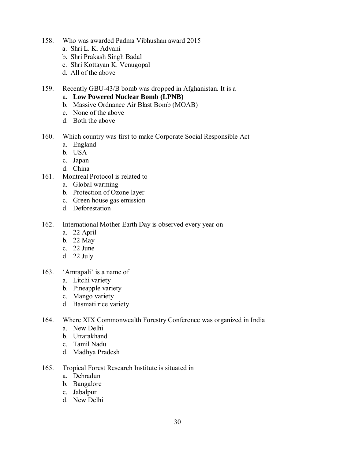- 158. Who was awarded Padma Vibhushan award 2015
	- a. Shri L. K. Advani
	- b. Shri Prakash Singh Badal
	- c. Shri Kottayan K. Venugopal
	- d. All of the above
- 159. Recently GBU-43/B bomb was dropped in Afghanistan. It is a
	- a. **Low Powered Nuclear Bomb (LPNB)**
	- b. Massive Ordnance Air Blast Bomb (MOAB)
	- c. None of the above
	- d. Both the above
- 160. Which country was first to make Corporate Social Responsible Act
	- a. England
	- b. USA
	- c. [Japan](http://envfor.nic.in/content/honble-minister-ef-ic-shri-prakash-javadekar-joins-office)
	- d. China
- 161. Montreal Protocol is related to
	- a. Global warming
	- b. Protection of Ozone layer
	- c. Green house gas emission
	- d. Deforestation
- 162. International Mother Earth Day is observed every year on
	- a. 22 April
	- b. 22 May
	- c. 22 June
	- d. 22 July
- 163. 'Amrapali' is a name of
	- a. Litchi variety
	- b. Pineapple variety
	- c. Mango variety
	- d. Basmati rice variety
- 164. Where XIX Commonwealth Forestry Conference was organized in India
	- a. New Delhi
	- b. Uttarakhand
	- c. Tamil Nadu
	- d. Madhya Pradesh
- 165. Tropical Forest Research Institute is situated in
	- a. Dehradun
	- b. Bangalore
	- c. Jabalpur
	- d. New Delhi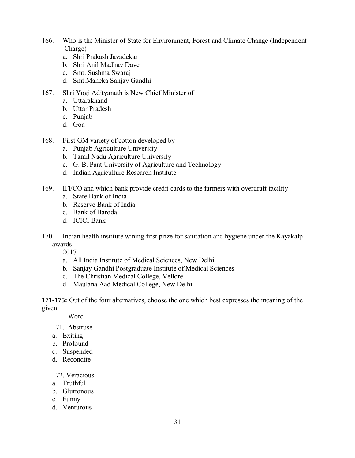- 166. Who is the Minister of State for Environment, Forest and Climate Change (Independent Charge)
	- a. [Shri Prakash Javadekar](http://envfor.nic.in/content/honble-minister-ef-ic-shri-prakash-javadekar-joins-office)
	- b. Shri Anil Madhav Dave
	- c. Smt. Sushma Swaraj
	- d. Smt.Maneka Sanjay Gandhi
- 167. Shri Yogi Adityanath is New Chief Minister of
	- a. Uttarakhand
	- b. Uttar Pradesh
	- c. Punjab
	- d. Goa
- 168. First GM variety of cotton developed by
	- a. Punjab Agriculture University
	- b. Tamil Nadu Agriculture University
	- c. G. B. Pant University of Agriculture and Technology
	- d. Indian Agriculture Research Institute
- 169. IFFCO and which bank provide credit cards to the farmers with overdraft facility
	- a. State Bank of India
	- b. Reserve Bank of India
	- c. Bank of Baroda
	- d. ICICI Bank
- 170. Indian health institute wining first prize for sanitation and hygiene under the Kayakalp awards

2017

- a. All India Institute of Medical Sciences, New Delhi
- b. Sanjay Gandhi Postgraduate Institute of Medical Sciences
- c. The Christian Medical College, Vellore
- d. Maulana Aad Medical College, New Delhi

**171-175:** Out of the four alternatives, choose the one which best expresses the meaning of the given

**Word** 

171. Abstruse

- a. Exiting
- b. Profound
- c. Suspended
- d. Recondite

#### 172. Veracious

- a. Truthful
- b. Gluttonous
- c. Funny
- d. Venturous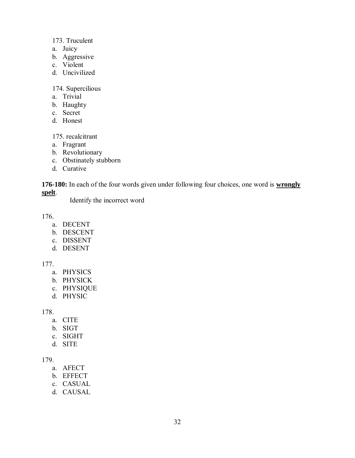#### 173. Truculent

- a. Juicy
- b. Aggressive
- c. Violent
- d. Uncivilized

#### 174. Supercilious

- a. Trivial
- b. Haughty
- c. Secret
- d. Honest

175. recalcitrant

- a. Fragrant
- b. Revolutionary
- c. Obstinately stubborn
- d. Curative

**176-180:** In each of the four words given under following four choices, one word is **wrongly spelt**.

Identify the incorrect word

176.

- a. DECENT
- b. DESCENT
- c. DISSENT
- d. DESENT

177.

- a. PHYSICS
- b. PHYSICK
- c. PHYSIQUE
- d. PHYSIC

178.

- a. CITE
- b. SIGT
- c. SIGHT
- d. SITE

179.

- a. AFECT
- b. EFFECT
- c. CASUAL
- d. CAUSAL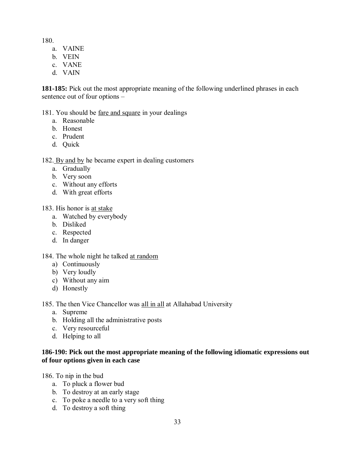180.

- a. VAINE
- b. VEIN
- c. VANE
- d. VAIN

**181-185:** Pick out the most appropriate meaning of the following underlined phrases in each sentence out of four options –

#### 181. You should be fare and square in your dealings

- a. Reasonable
- b. Honest
- c. Prudent
- d. Quick

#### 182. By and by he became expert in dealing customers

- a. Gradually
- b. Very soon
- c. Without any efforts
- d. With great efforts

#### 183. His honor is at stake

- a. Watched by everybody
- b. Disliked
- c. Respected
- d. In danger

# 184. The whole night he talked at random

- a) Continuously
- b) Very loudly
- c) Without any aim
- d) Honestly

185. The then Vice Chancellor was all in all at Allahabad University

- a. Supreme
- b. Holding all the administrative posts
- c. Very resourceful
- d. Helping to all

#### **186-190: Pick out the most appropriate meaning of the following idiomatic expressions out of four options given in each case**

186. To nip in the bud

- a. To pluck a flower bud
- b. To destroy at an early stage
- c. To poke a needle to a very soft thing
- d. To destroy a soft thing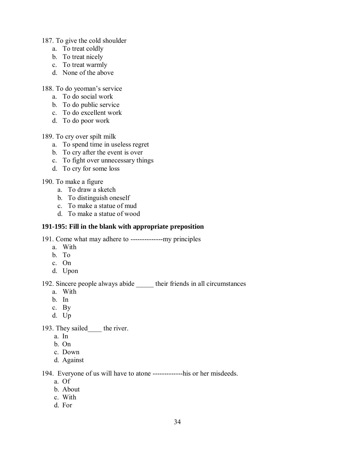- 187. To give the cold shoulder
	- a. To treat coldly
	- b. To treat nicely
	- c. To treat warmly
	- d. None of the above

188. To do yeoman's service

- a. To do social work
- b. To do public service
- c. To do excellent work
- d. To do poor work

189. To cry over spilt milk

- a. To spend time in useless regret
- b. To cry after the event is over
- c. To fight over unnecessary things
- d. To cry for some loss

#### 190. To make a figure

- a. To draw a sketch
- b. To distinguish oneself
- c. To make a statue of mud
- d. To make a statue of wood

#### **191-195: Fill in the blank with appropriate preposition**

191. Come what may adhere to --------------my principles

- a. With
- b. To
- c. On
- d. Upon

# 192. Sincere people always abide \_\_\_\_\_ their friends in all circumstances

- a. With
- b. In
- c. By
- d. Up

193. They sailed the river.

- a. In
- b. On
- c. Down
- d. Against

194. Everyone of us will have to atone -------------his or her misdeeds.

- a. Of
- b. About
- c. With
- d. For